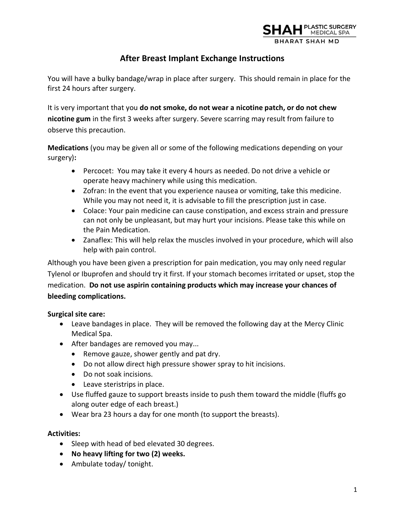

# **After Breast Implant Exchange Instructions**

You will have a bulky bandage/wrap in place after surgery. This should remain in place for the first 24 hours after surgery.

It is very important that you **do not smoke, do not wear a nicotine patch, or do not chew nicotine gum** in the first 3 weeks after surgery. Severe scarring may result from failure to observe this precaution.

**Medications** (you may be given all or some of the following medications depending on your surgery)**:**

- Percocet: You may take it every 4 hours as needed. Do not drive a vehicle or operate heavy machinery while using this medication.
- Zofran: In the event that you experience nausea or vomiting, take this medicine. While you may not need it, it is advisable to fill the prescription just in case.
- Colace: Your pain medicine can cause constipation, and excess strain and pressure can not only be unpleasant, but may hurt your incisions. Please take this while on the Pain Medication.
- Zanaflex: This will help relax the muscles involved in your procedure, which will also help with pain control.

Although you have been given a prescription for pain medication, you may only need regular Tylenol or Ibuprofen and should try it first. If your stomach becomes irritated or upset, stop the medication. **Do not use aspirin containing products which may increase your chances of bleeding complications.** 

## **Surgical site care:**

- Leave bandages in place. They will be removed the following day at the Mercy Clinic Medical Spa.
- After bandages are removed you may...
	- Remove gauze, shower gently and pat dry.
	- Do not allow direct high pressure shower spray to hit incisions.
	- Do not soak incisions.
	- Leave steristrips in place.
- Use fluffed gauze to support breasts inside to push them toward the middle (fluffs go along outer edge of each breast.)
- Wear bra 23 hours a day for one month (to support the breasts).

## **Activities:**

- Sleep with head of bed elevated 30 degrees.
- **No heavy lifting for two (2) weeks.**
- Ambulate today/ tonight.